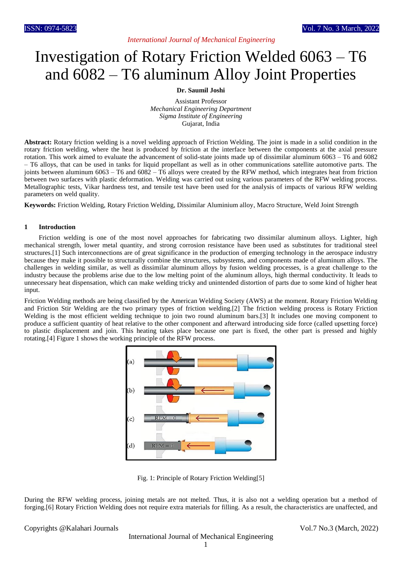### *International Journal of Mechanical Engineering*

# Investigation of Rotary Friction Welded 6063 – T6 and 6082 – T6 aluminum Alloy Joint Properties

#### **Dr. Saumil Joshi**

Assistant Professor *Mechanical Engineering Department Sigma Institute of Engineering* Gujarat, India

**Abstract:** Rotary friction welding is a novel welding approach of Friction Welding. The joint is made in a solid condition in the rotary friction welding, where the heat is produced by friction at the interface between the components at the axial pressure rotation. This work aimed to evaluate the advancement of solid-state joints made up of dissimilar aluminum 6063 – T6 and 6082 – T6 alloys, that can be used in tanks for liquid propellant as well as in other communications satellite automotive parts. The joints between aluminum  $6063 - T6$  and  $6082 - T6$  alloys were created by the RFW method, which integrates heat from friction between two surfaces with plastic deformation. Welding was carried out using various parameters of the RFW welding process. Metallographic tests, Vikar hardness test, and tensile test have been used for the analysis of impacts of various RFW welding parameters on weld quality.

**Keywords:** Friction Welding, Rotary Friction Welding, Dissimilar Aluminium alloy, Macro Structure, Weld Joint Strength

#### **1 Introduction**

Friction welding is one of the most novel approaches for fabricating two dissimilar aluminum alloys. Lighter, high mechanical strength, lower metal quantity, and strong corrosion resistance have been used as substitutes for traditional steel structures.[1] Such interconnections are of great significance in the production of emerging technology in the aerospace industry because they make it possible to structurally combine the structures, subsystems, and components made of aluminum alloys. The challenges in welding similar, as well as dissimilar aluminum alloys by fusion welding processes, is a great challenge to the industry because the problems arise due to the low melting point of the aluminum alloys, high thermal conductivity. It leads to unnecessary heat dispensation, which can make welding tricky and unintended distortion of parts due to some kind of higher heat input.

Friction Welding methods are being classified by the American Welding Society (AWS) at the moment. Rotary Friction Welding and Friction Stir Welding are the two primary types of friction welding.[2] The friction welding process is Rotary Friction Welding is the most efficient welding technique to join two round aluminum bars.[3] It includes one moving component to produce a sufficient quantity of heat relative to the other component and afterward introducing side force (called upsetting force) to plastic displacement and join. This heating takes place because one part is fixed, the other part is pressed and highly rotating.[4] Figure 1 shows the working principle of the RFW process.



Fig. 1: Principle of Rotary Friction Welding[5]

During the RFW welding process, joining metals are not melted. Thus, it is also not a welding operation but a method of forging.[6] Rotary Friction Welding does not require extra materials for filling. As a result, the characteristics are unaffected, and

Copyrights @Kalahari Journals Vol.7 No.3 (March, 2022)

International Journal of Mechanical Engineering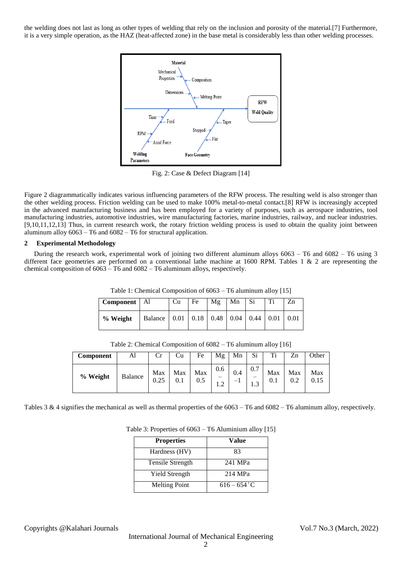the welding does not last as long as other types of welding that rely on the inclusion and porosity of the material.[7] Furthermore, it is a very simple operation, as the HAZ (heat-affected zone) in the base metal is considerably less than other welding processes.



Fig. 2: Case & Defect Diagram [14]

Figure 2 diagrammatically indicates various influencing parameters of the RFW process. The resulting weld is also stronger than the other welding process. Friction welding can be used to make 100% metal-to-metal contact.[8] RFW is increasingly accepted in the advanced manufacturing business and has been employed for a variety of purposes, such as aerospace industries, tool manufacturing industries, automotive industries, wire manufacturing factories, marine industries, railway, and nuclear industries. [9,10,11,12,13] Thus, in current research work, the rotary friction welding process is used to obtain the quality joint between aluminum alloy 6063 – T6 and 6082 – T6 for structural application.

#### **2 Experimental Methodology**

During the research work, experimental work of joining two different aluminum alloys 6063 – T6 and 6082 – T6 using 3 different face geometries are performed on a conventional lathe machine at 1600 RPM. Tables 1 & 2 are representing the chemical composition of  $6063 - T6$  and  $6082 - T6$  aluminum alloys, respectively.

| Component | Al                                         | Cu | Fe | Μg | Mn | Si | T.          | Zn   |
|-----------|--------------------------------------------|----|----|----|----|----|-------------|------|
| % Weight  | Balance   0.01   0.18   0.48   0.04   0.44 |    |    |    |    |    | $\mid$ 0.01 | 0.01 |

Table 1: Chemical Composition of 6063 – T6 aluminum alloy [15]

Table 2: Chemical Composition of 6082 – T6 aluminum alloy [16]

| Component | Al             | Cr          | ∪u         | Fe         | Mg  | Mn          | Si  | Ti         | Zn  | Other |
|-----------|----------------|-------------|------------|------------|-----|-------------|-----|------------|-----|-------|
| % Weight  | <b>Balance</b> | Max<br>0.25 | Max<br>0.1 | Max<br>0.5 | 0.6 | 0.4<br>$-1$ | 0.7 | Max<br>0.1 | Max | Max   |

Tables 3 & 4 signifies the mechanical as well as thermal properties of the 6063 – T6 and 6082 – T6 aluminum alloy, respectively.

| Table 3: Properties of 6063 – T6 Aluminium alloy [15] |  |
|-------------------------------------------------------|--|
|-------------------------------------------------------|--|

| <b>Properties</b>    | Value          |
|----------------------|----------------|
| Hardness (HV)        | 83             |
| Tensile Strength     | 241 MPa        |
| Yield Strength       | 214 MPa        |
| <b>Melting Point</b> | $616 - 654$ °C |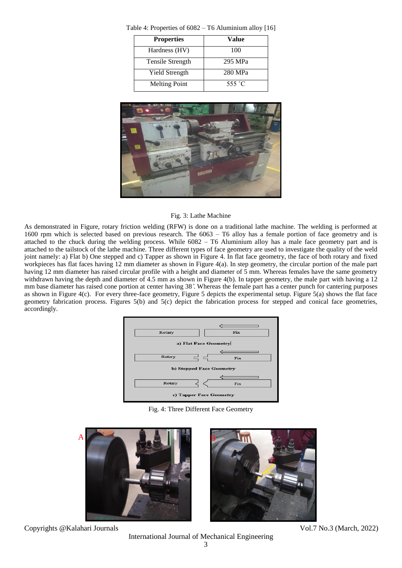| <b>Properties</b>    | Value   |
|----------------------|---------|
| Hardness (HV)        | 100     |
| Tensile Strength     | 295 MPa |
| Yield Strength       | 280 MPa |
| <b>Melting Point</b> | 555 °C  |

Table 4: Properties of 6082 – T6 Aluminium alloy [16]



#### Fig. 3: Lathe Machine

As demonstrated in Figure, rotary friction welding (RFW) is done on a traditional lathe machine. The welding is performed at 1600 rpm which is selected based on previous research. The 6063 – T6 alloy has a female portion of face geometry and is attached to the chuck during the welding process. While 6082 – T6 Aluminium alloy has a male face geometry part and is attached to the tailstock of the lathe machine. Three different types of face geometry are used to investigate the quality of the weld joint namely: a) Flat b) One stepped and c) Tapper as shown in Figure 4. In flat face geometry, the face of both rotary and fixed workpieces has flat faces having 12 mm diameter as shown in Figure 4(a). In step geometry, the circular portion of the male part having 12 mm diameter has raised circular profile with a height and diameter of 5 mm. Whereas females have the same geometry withdrawn having the depth and diameter of 4.5 mm as shown in Figure 4(b). In tapper geometry, the male part with having a 12 mm base diameter has raised cone portion at center having 38 ̊. Whereas the female part has a center punch for cantering purposes as shown in Figure 4(c). For every three-face geometry, Figure 5 depicts the experimental setup. Figure 5(a) shows the flat face geometry fabrication process. Figures 5(b) and 5(c) depict the fabrication process for stepped and conical face geometries, accordingly.



Fig. 4: Three Different Face Geometry



Copyrights @Kalahari Journals Vol.7 No.3 (March, 2022)

International Journal of Mechanical Engineering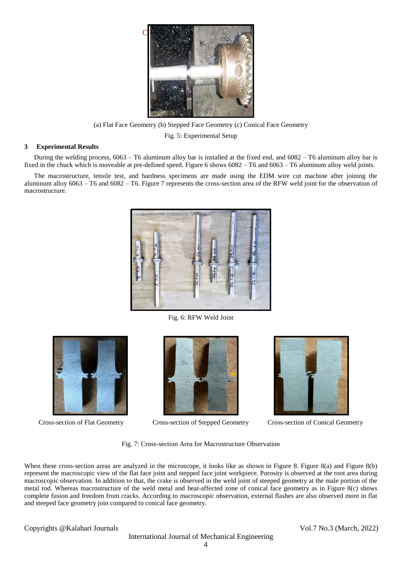

(a) Flat Face Geometry (b) Stepped Face Geometry (c) Conical Face Geometry

Fig. 5: Experimental Setup

#### **3 Experimental Results**

During the welding process, 6063 – T6 aluminum alloy bar is installed at the fixed end, and 6082 – T6 aluminum alloy bar is fixed in the chuck which is moveable at pre-defined speed. Figure 6 shows 6082 – T6 and 6063 – T6 aluminum alloy weld joints.

The macrostructure, tensile test, and hardness specimens are made using the EDM wire cut machine after joining the aluminum alloy 6063 – T6 and 6082 – T6. Figure 7 represents the cross-section area of the RFW weld joint for the observation of macrostructure.



Fig. 6: RFW Weld Joint





Cross-section of Flat Geometry Cross-section of Stepped Geometry Cross-section of Conical Geometry



Fig. 7: Cross-section Area for Macrostructure Observation

When these cross-section areas are analyzed in the microscope, it looks like as shown in Figure 8. Figure 8(a) and Figure 8(b) represent the macroscopic view of the flat face joint and stepped face joint workpiece. Porosity is observed at the root area during macroscopic observation. In addition to that, the crake is observed in the weld joint of steeped geometry at the male portion of the metal rod. Whereas macrostructure of the weld metal and heat-affected zone of conical face geometry as in Figure 8(c) shows complete fusion and freedom from cracks. According to macroscopic observation, external flashes are also observed more in flat and steeped face geometry join compared to conical face geometry.

Copyrights @Kalahari Journals Vol.7 No.3 (March, 2022)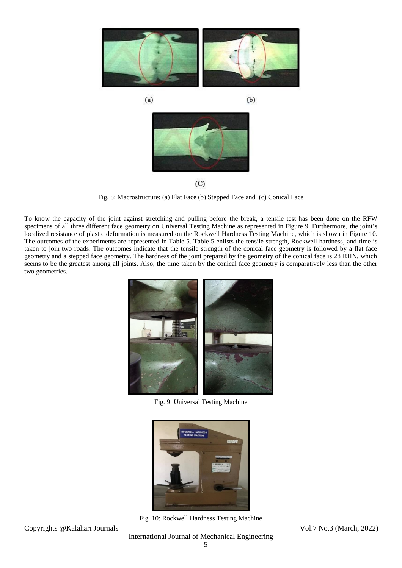

Fig. 8: Macrostructure: (a) Flat Face (b) Stepped Face and (c) Conical Face

To know the capacity of the joint against stretching and pulling before the break, a tensile test has been done on the RFW specimens of all three different face geometry on Universal Testing Machine as represented in Figure 9. Furthermore, the joint's localized resistance of plastic deformation is measured on the Rockwell Hardness Testing Machine, which is shown in Figure 10. The outcomes of the experiments are represented in Table 5. Table 5 enlists the tensile strength, Rockwell hardness, and time is taken to join two roads. The outcomes indicate that the tensile strength of the conical face geometry is followed by a flat face geometry and a stepped face geometry. The hardness of the joint prepared by the geometry of the conical face is 28 RHN, which seems to be the greatest among all joints. Also, the time taken by the conical face geometry is comparatively less than the other two geometries.



Fig. 9: Universal Testing Machine



Fig. 10: Rockwell Hardness Testing Machine

Copyrights @Kalahari Journals Vol.7 No.3 (March, 2022)

International Journal of Mechanical Engineering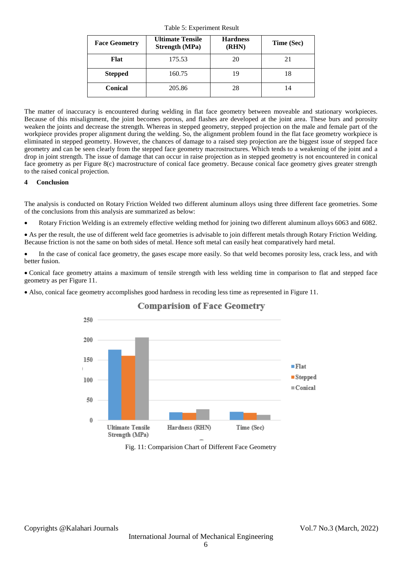| <b>Face Geometry</b> | <b>Ultimate Tensile</b><br><b>Strength (MPa)</b> | <b>Hardness</b><br>(RHN) | Time (Sec) |
|----------------------|--------------------------------------------------|--------------------------|------------|
| Flat                 | 175.53                                           | 20                       | 21         |
| <b>Stepped</b>       | 160.75                                           | 19                       | 18         |
| <b>Conical</b>       | 205.86                                           | 28                       | 14         |

Table 5: Experiment Result

The matter of inaccuracy is encountered during welding in flat face geometry between moveable and stationary workpieces. Because of this misalignment, the joint becomes porous, and flashes are developed at the joint area. These burs and porosity weaken the joints and decrease the strength. Whereas in stepped geometry, stepped projection on the male and female part of the workpiece provides proper alignment during the welding. So, the alignment problem found in the flat face geometry workpiece is eliminated in stepped geometry. However, the chances of damage to a raised step projection are the biggest issue of stepped face geometry and can be seen clearly from the stepped face geometry macrostructures. Which tends to a weakening of the joint and a drop in joint strength. The issue of damage that can occur in raise projection as in stepped geometry is not encountered in conical face geometry as per Figure 8(c) macrostructure of conical face geometry. Because conical face geometry gives greater strength to the raised conical projection.

#### **4 Conclusion**

The analysis is conducted on Rotary Friction Welded two different aluminum alloys using three different face geometries. Some of the conclusions from this analysis are summarized as below:

Rotary Friction Welding is an extremely effective welding method for joining two different aluminum alloys 6063 and 6082.

 As per the result, the use of different weld face geometries is advisable to join different metals through Rotary Friction Welding. Because friction is not the same on both sides of metal. Hence soft metal can easily heat comparatively hard metal.

 In the case of conical face geometry, the gases escape more easily. So that weld becomes porosity less, crack less, and with better fusion.

 Conical face geometry attains a maximum of tensile strength with less welding time in comparison to flat and stepped face geometry as per Figure 11.

Also, conical face geometry accomplishes good hardness in recoding less time as represented in Figure 11.



## **Comparision of Face Geometry**

Fig. 11: Comparision Chart of Different Face Geometry

Copyrights @Kalahari Journals Vol.7 No.3 (March, 2022)